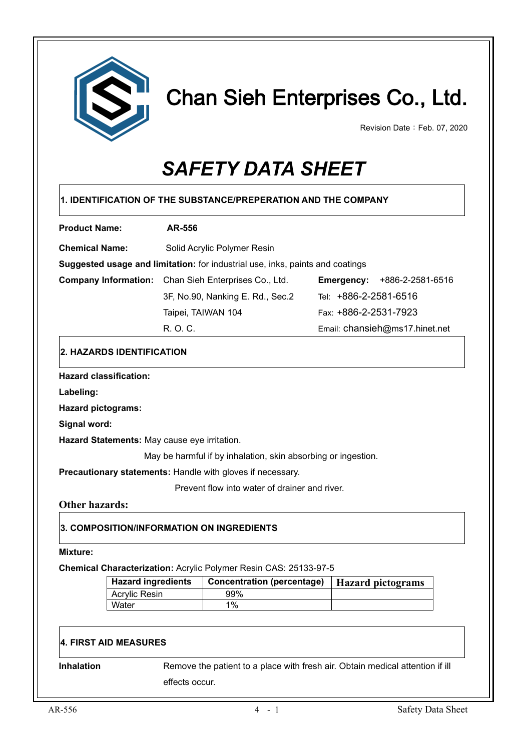

# Chan Sieh Enterprises Co., Ltd.

Revision Date: Feb. 07, 2020

# *SAFETY DATA SHEET*

| <b>Product Name:</b>                     |                                              | <b>AR-556</b> |                                                                               |                       |                                    |
|------------------------------------------|----------------------------------------------|---------------|-------------------------------------------------------------------------------|-----------------------|------------------------------------|
| <b>Chemical Name:</b>                    |                                              |               | Solid Acrylic Polymer Resin                                                   |                       |                                    |
|                                          |                                              |               | Suggested usage and limitation: for industrial use, inks, paints and coatings |                       |                                    |
|                                          |                                              |               | Company Information: Chan Sieh Enterprises Co., Ltd.                          |                       | <b>Emergency: +886-2-2581-6516</b> |
|                                          |                                              |               | 3F, No.90, Nanking E. Rd., Sec.2                                              | Tel: +886-2-2581-6516 |                                    |
|                                          |                                              |               | Taipei, TAIWAN 104                                                            | Fax: +886-2-2531-7923 |                                    |
|                                          |                                              | R. O. C.      |                                                                               |                       | Email: chansieh@ms17.hinet.net     |
|                                          | 2. HAZARDS IDENTIFICATION                    |               |                                                                               |                       |                                    |
|                                          | <b>Hazard classification:</b>                |               |                                                                               |                       |                                    |
| Labeling:                                |                                              |               |                                                                               |                       |                                    |
| <b>Hazard pictograms:</b>                |                                              |               |                                                                               |                       |                                    |
| Signal word:                             |                                              |               |                                                                               |                       |                                    |
|                                          |                                              |               |                                                                               |                       |                                    |
|                                          | Hazard Statements: May cause eye irritation. |               |                                                                               |                       |                                    |
|                                          |                                              |               |                                                                               |                       |                                    |
|                                          |                                              |               | May be harmful if by inhalation, skin absorbing or ingestion.                 |                       |                                    |
|                                          |                                              |               | Precautionary statements: Handle with gloves if necessary.                    |                       |                                    |
|                                          |                                              |               | Prevent flow into water of drainer and river.                                 |                       |                                    |
|                                          |                                              |               |                                                                               |                       |                                    |
|                                          |                                              |               | 3. COMPOSITION/INFORMATION ON INGREDIENTS                                     |                       |                                    |
|                                          |                                              |               |                                                                               |                       |                                    |
|                                          |                                              |               | Chemical Characterization: Acrylic Polymer Resin CAS: 25133-97-5              |                       |                                    |
| <b>Other hazards:</b><br><b>Mixture:</b> | <b>Hazard ingredients</b>                    |               | <b>Concentration (percentage)</b>                                             |                       | <b>Hazard pictograms</b>           |
|                                          | <b>Acrylic Resin</b><br>Water                |               | 99%<br>1%                                                                     |                       |                                    |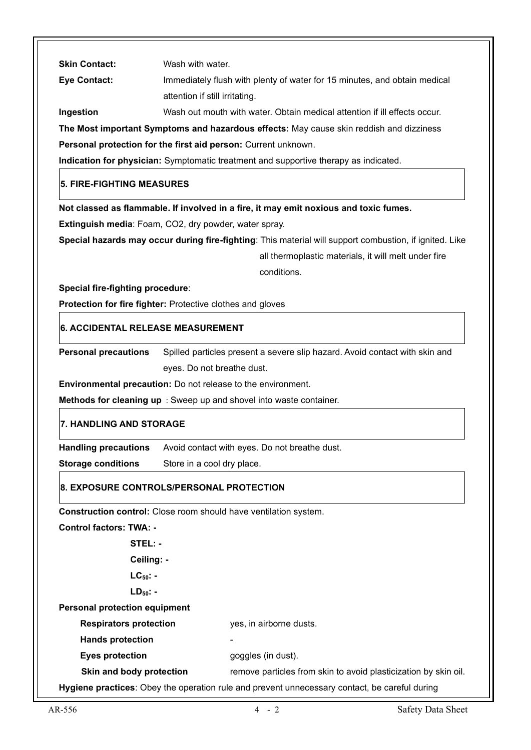| <b>Skin Contact:</b><br>Wash with water.                                                                                           |  |
|------------------------------------------------------------------------------------------------------------------------------------|--|
| <b>Eye Contact:</b><br>Immediately flush with plenty of water for 15 minutes, and obtain medical<br>attention if still irritating. |  |
| Ingestion<br>Wash out mouth with water. Obtain medical attention if ill effects occur.                                             |  |
| The Most important Symptoms and hazardous effects: May cause skin reddish and dizziness                                            |  |
| Personal protection for the first aid person: Current unknown.                                                                     |  |
| Indication for physician: Symptomatic treatment and supportive therapy as indicated.                                               |  |
| <b>5. FIRE-FIGHTING MEASURES</b>                                                                                                   |  |
| Not classed as flammable. If involved in a fire, it may emit noxious and toxic fumes.                                              |  |
| Extinguish media: Foam, CO2, dry powder, water spray.                                                                              |  |
| Special hazards may occur during fire-fighting: This material will support combustion, if ignited. Like                            |  |
| all thermoplastic materials, it will melt under fire                                                                               |  |
| conditions.                                                                                                                        |  |
| Special fire-fighting procedure:                                                                                                   |  |
| Protection for fire fighter: Protective clothes and gloves                                                                         |  |
| 6. ACCIDENTAL RELEASE MEASUREMENT                                                                                                  |  |
| <b>Personal precautions</b><br>Spilled particles present a severe slip hazard. Avoid contact with skin and                         |  |
| eyes. Do not breathe dust.                                                                                                         |  |
| Environmental precaution: Do not release to the environment.                                                                       |  |
| Methods for cleaning up : Sweep up and shovel into waste container.                                                                |  |
| 7. HANDLING AND STORAGE                                                                                                            |  |
| <b>Handling precautions</b><br>Avoid contact with eyes. Do not breathe dust.                                                       |  |
| <b>Storage conditions</b><br>Store in a cool dry place.                                                                            |  |
| 8. EXPOSURE CONTROLS/PERSONAL PROTECTION                                                                                           |  |
| <b>Construction control:</b> Close room should have ventilation system.                                                            |  |
| <b>Control factors: TWA: -</b>                                                                                                     |  |
| STEL: -                                                                                                                            |  |
| Ceiling: -                                                                                                                         |  |
| $LC_{50}$ -                                                                                                                        |  |
| $LD_{50}$ -                                                                                                                        |  |
| <b>Personal protection equipment</b>                                                                                               |  |
| <b>Respirators protection</b><br>yes, in airborne dusts.                                                                           |  |
| <b>Hands protection</b>                                                                                                            |  |
|                                                                                                                                    |  |
| <b>Eyes protection</b><br>goggles (in dust).                                                                                       |  |
| Skin and body protection<br>remove particles from skin to avoid plasticization by skin oil.                                        |  |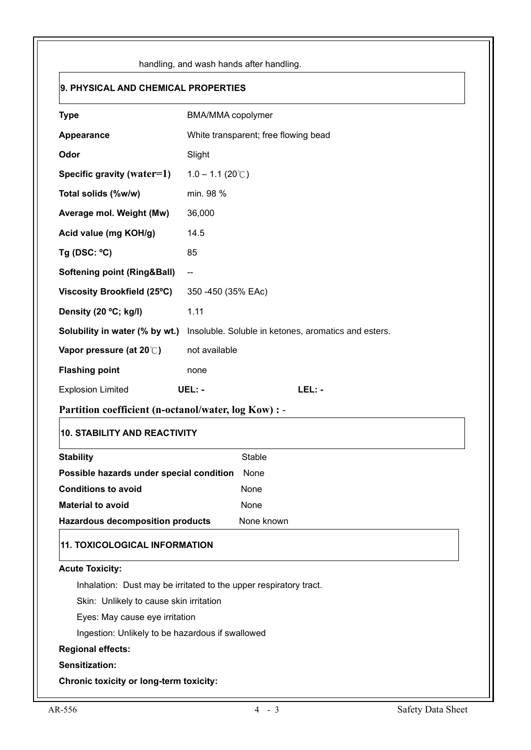|                                                                           | handling, and wash hands after handling.                          |  |  |
|---------------------------------------------------------------------------|-------------------------------------------------------------------|--|--|
| 9. PHYSICAL AND CHEMICAL PROPERTIES                                       |                                                                   |  |  |
| <b>Type</b>                                                               | BMA/MMA copolymer                                                 |  |  |
| Appearance                                                                | White transparent; free flowing bead                              |  |  |
| Odor                                                                      | Slight                                                            |  |  |
| Specific gravity (water=1)                                                | $1.0 - 1.1 (20^{\circ}C)$                                         |  |  |
| Total solids (%w/w)                                                       | min. 98 %                                                         |  |  |
| Average mol. Weight (Mw)                                                  | 36,000                                                            |  |  |
| Acid value (mg KOH/g)                                                     | 14.5                                                              |  |  |
| Tg (DSC: $°C$ )                                                           | 85                                                                |  |  |
| <b>Softening point (Ring&amp;Ball)</b>                                    | $-\!$                                                             |  |  |
| Viscosity Brookfield (25°C)                                               | 350 -450 (35% EAc)                                                |  |  |
| Density (20 °C; kg/l)                                                     | 1.11                                                              |  |  |
| Solubility in water (% by wt.)                                            | Insoluble. Soluble in ketones, aromatics and esters.              |  |  |
| Vapor pressure (at 20°C)                                                  | not available                                                     |  |  |
| <b>Flashing point</b>                                                     | none                                                              |  |  |
| <b>Explosion Limited</b>                                                  | LEL: -<br>UEL: -                                                  |  |  |
| Partition coefficient (n-octanol/water, log Kow) : -                      |                                                                   |  |  |
| <b>10. STABILITY AND REACTIVITY</b>                                       |                                                                   |  |  |
| <b>Stability</b>                                                          | <b>Stable</b>                                                     |  |  |
| Possible hazards under special condition                                  | None                                                              |  |  |
| <b>Conditions to avoid</b>                                                | None                                                              |  |  |
| <b>Material to avoid</b>                                                  | None                                                              |  |  |
| <b>Hazardous decomposition products</b>                                   | None known                                                        |  |  |
| <b>11. TOXICOLOGICAL INFORMATION</b>                                      |                                                                   |  |  |
| <b>Acute Toxicity:</b>                                                    |                                                                   |  |  |
|                                                                           | Inhalation: Dust may be irritated to the upper respiratory tract. |  |  |
| Skin: Unlikely to cause skin irritation<br>Eyes: May cause eye irritation |                                                                   |  |  |
| Ingestion: Unlikely to be hazardous if swallowed                          |                                                                   |  |  |
| <b>Regional effects:</b>                                                  |                                                                   |  |  |
| Sensitization:                                                            |                                                                   |  |  |
| <b>Chronic toxicity or long-term toxicity:</b>                            |                                                                   |  |  |